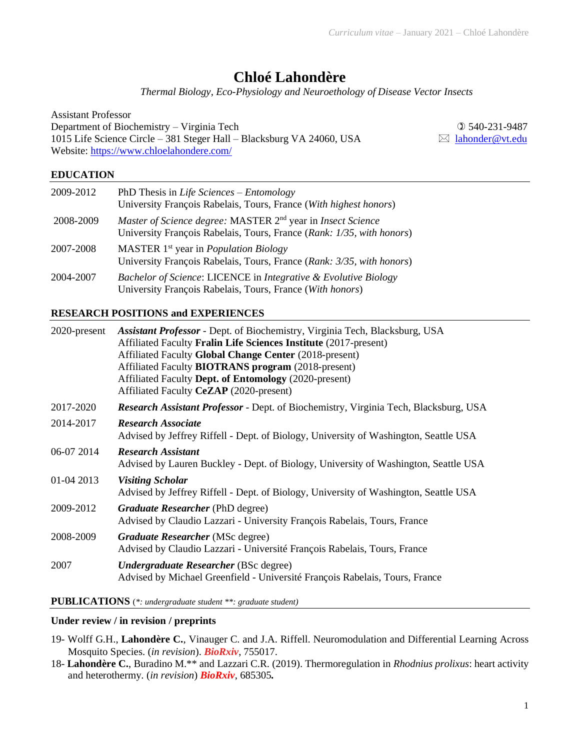# **Chloé Lahondère**

*Thermal Biology, Eco-Physiology and Neuroethology of Disease Vector Insects*

| Assistant Professor                                                   |                             |
|-----------------------------------------------------------------------|-----------------------------|
| Department of Biochemistry – Virginia Tech                            | $Q$ 540-231-9487            |
| 1015 Life Science Circle – 381 Steger Hall – Blacksburg VA 24060, USA | $\boxtimes$ lahonder@vt.edu |
| Website: https://www.chloelahondere.com/                              |                             |
|                                                                       |                             |

# **EDUCATION**

| 2009-2012 | PhD Thesis in Life Sciences – Entomology<br>University François Rabelais, Tours, France (With highest honors)                                    |
|-----------|--------------------------------------------------------------------------------------------------------------------------------------------------|
| 2008-2009 | Master of Science degree: MASTER 2 <sup>nd</sup> year in Insect Science<br>University François Rabelais, Tours, France (Rank: 1/35, with honors) |
| 2007-2008 | MASTER $1st$ year in <i>Population Biology</i><br>University François Rabelais, Tours, France (Rank: 3/35, with honors)                          |
| 2004-2007 | Bachelor of Science: LICENCE in Integrative & Evolutive Biology<br>University François Rabelais, Tours, France (With honors)                     |

# **RESEARCH POSITIONS and EXPERIENCES**

| $2020$ -present | <b>Assistant Professor</b> - Dept. of Biochemistry, Virginia Tech, Blacksburg, USA          |  |
|-----------------|---------------------------------------------------------------------------------------------|--|
|                 | Affiliated Faculty Fralin Life Sciences Institute (2017-present)                            |  |
|                 | Affiliated Faculty Global Change Center (2018-present)                                      |  |
|                 | Affiliated Faculty <b>BIOTRANS</b> program (2018-present)                                   |  |
|                 | Affiliated Faculty Dept. of Entomology (2020-present)                                       |  |
|                 | Affiliated Faculty CeZAP (2020-present)                                                     |  |
| 2017-2020       | <b>Research Assistant Professor</b> - Dept. of Biochemistry, Virginia Tech, Blacksburg, USA |  |
| 2014-2017       | <b>Research Associate</b>                                                                   |  |
|                 | Advised by Jeffrey Riffell - Dept. of Biology, University of Washington, Seattle USA        |  |
| 06-07 2014      | <b>Research Assistant</b>                                                                   |  |
|                 | Advised by Lauren Buckley - Dept. of Biology, University of Washington, Seattle USA         |  |
| 01-04 2013      | <b>Visiting Scholar</b>                                                                     |  |
|                 | Advised by Jeffrey Riffell - Dept. of Biology, University of Washington, Seattle USA        |  |
| 2009-2012       | Graduate Researcher (PhD degree)                                                            |  |
|                 | Advised by Claudio Lazzari - University François Rabelais, Tours, France                    |  |
| 2008-2009       | Graduate Researcher (MSc degree)                                                            |  |
|                 | Advised by Claudio Lazzari - Université François Rabelais, Tours, France                    |  |
| 2007            | <b>Undergraduate Researcher</b> (BSc degree)                                                |  |
|                 | Advised by Michael Greenfield - Université François Rabelais, Tours, France                 |  |
|                 |                                                                                             |  |

**PUBLICATIONS** (*\*: undergraduate student \*\*: graduate student)*

#### **Under review / in revision / preprints**

- 19- Wolff G.H., **Lahondère C.**, Vinauger C. and J.A. Riffell. Neuromodulation and Differential Learning Across Mosquito Species. (*in revision*). *BioRxiv*, 755017.
- 18- **Lahondère C.**, Buradino M.\*\* and Lazzari C.R. (2019). Thermoregulation in *Rhodnius prolixus*: heart activity and heterothermy*.* (*in revision*) *BioRxiv*, 685305*.*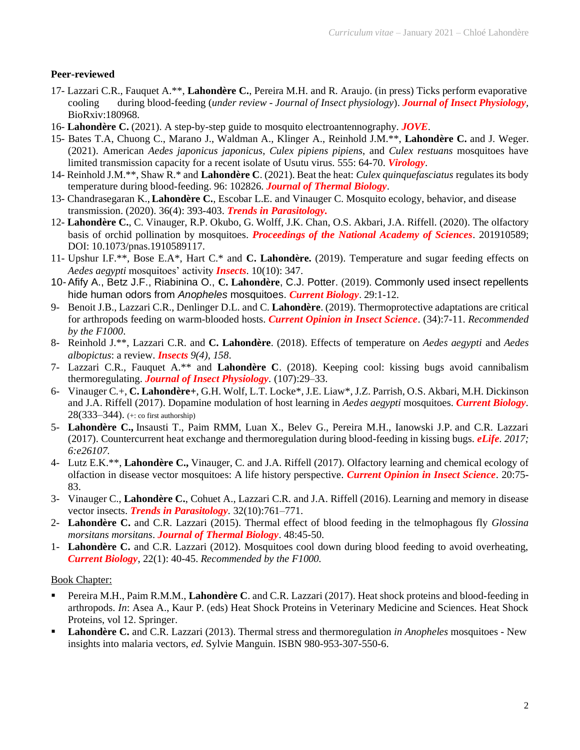#### **Peer-reviewed**

- 17- Lazzari C.R., Fauquet A.\*\*, **Lahondère C.**, Pereira M.H. and R. Araujo. (in press) Ticks perform evaporative cooling during blood-feeding (*under review - Journal of Insect physiology*). *Journal of Insect Physiology,* BioRxiv:180968.
- 16- **Lahondère C.** (2021). A step-by-step guide to mosquito electroantennography. *JOVE*.
- 15- Bates T.A, Chuong C., Marano J., Waldman A., Klinger A., Reinhold J.M.\*\*, **Lahondère C.** and J. Weger. (2021). American *Aedes japonicus japonicus*, *Culex pipiens pipiens*, and *Culex restuans* mosquitoes have limited transmission capacity for a recent isolate of Usutu virus. 555: 64-70. *Virology*.
- 14- Reinhold J.M.\*\*, Shaw R.\* and **Lahondère C**. (2021). Beat the heat: *Culex quinquefasciatus* regulates its body temperature during blood-feeding. 96: 102826. *Journal of Thermal Biology*.
- 13- Chandrasegaran K., **Lahondère C.**, Escobar L.E. and Vinauger C. Mosquito ecology, behavior, and disease transmission. (2020). 36(4): 393-403. *Trends in Parasitology.*
- 12- **Lahondère C.**, C. Vinauger, R.P. Okubo, G. Wolff, J.K. Chan, O.S. Akbari, J.A. Riffell. (2020). The olfactory basis of orchid pollination by mosquitoes. *Proceedings of the National Academy of Sciences*. 201910589; DOI: 10.1073/pnas.1910589117.
- 11- Upshur I.F.\*\*, Bose E.A\*, Hart C.\* and **C. Lahondère.** (2019). Temperature and sugar feeding effects on *Aedes aegypti* mosquitoes' activity *Insects*. 10(10): 347.
- 10- Afify A., Betz J.F., Riabinina O., **C. Lahondère**, C.J. Potter. (2019). Commonly used insect repellents hide human odors from *Anopheles* mosquitoes. *Current Biology*. 29:1-12.
- 9- Benoit J.B., Lazzari C.R., Denlinger D.L. and C. **Lahondère**. (2019). Thermoprotective adaptations are critical for arthropods feeding on warm-blooded hosts. *Current Opinion in Insect Science*. (34):7-11. *Recommended by the F1000*.
- 8- Reinhold J.\*\*, Lazzari C.R. and **C. Lahondère**. (2018). Effects of temperature on *Aedes aegypti* and *Aedes albopictus*: a review. *Insects 9(4), 158*.
- 7- Lazzari C.R., Fauquet A.\*\* and **Lahondère C**. (2018). Keeping cool: kissing bugs avoid cannibalism thermoregulating. *Journal of Insect Physiology.* (107):29–33.
- 6- Vinauger C.+, **C. Lahondère+**, G.H. Wolf, L.T. Locke\*, J.E. Liaw\*, J.Z. Parrish, O.S. Akbari, M.H. Dickinson and J.A. Riffell (2017). Dopamine modulation of host learning in *Aedes aegypti* mosquitoes. *Current Biology.* 28(333–344). (+: co first authorship)
- 5- **Lahondère C.,** Insausti T., Paim RMM, Luan X., Belev G., Pereira M.H., Ianowski J.P. and C.R. Lazzari (2017). Countercurrent heat exchange and thermoregulation during blood-feeding in kissing bugs. *eLife. 2017; 6:e26107.*
- 4- Lutz E.K.\*\*, **Lahondère C.,** Vinauger, C. and J.A. Riffell (2017). Olfactory learning and chemical ecology of olfaction in disease vector mosquitoes: A life history perspective. *Current Opinion in Insect Science*. 20:75- 83.
- 3- Vinauger C., **Lahondère C.**, Cohuet A., Lazzari C.R. and J.A. Riffell (2016). Learning and memory in disease vector insects. *Trends in Parasitology.* 32(10):761–771.
- 2- **Lahondère C.** and C.R. Lazzari (2015). Thermal effect of blood feeding in the telmophagous fly *Glossina morsitans morsitans*. *Journal of Thermal Biology*. 48:45-50.
- 1- **Lahondère C.** and C.R. Lazzari (2012). Mosquitoes cool down during blood feeding to avoid overheating, *Current Biology*, 22(1): 40-45. *Recommended by the F1000.*

#### Book Chapter:

- Pereira M.H., Paim R.M.M., Lahondère C. and C.R. Lazzari (2017). Heat shock proteins and blood-feeding in arthropods. *In*: Asea A., Kaur P. (eds) Heat Shock Proteins in Veterinary Medicine and Sciences. Heat Shock Proteins, vol 12. Springer.
- **Lahondère C.** and C.R. Lazzari (2013). Thermal stress and thermoregulation *in Anopheles* mosquitoes New insights into malaria vectors, *ed.* Sylvie Manguin. ISBN 980-953-307-550-6.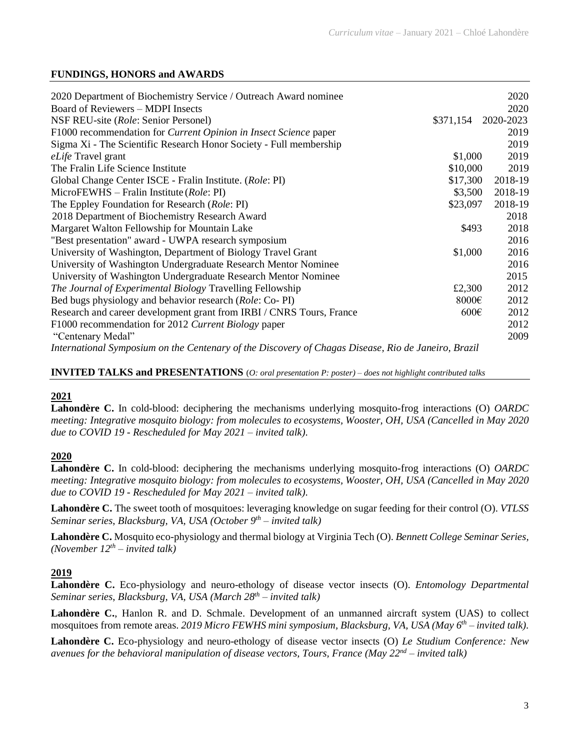### **FUNDINGS, HONORS and AWARDS**

| 2020 Department of Biochemistry Service / Outreach Award nominee                                    |                     | 2020    |
|-----------------------------------------------------------------------------------------------------|---------------------|---------|
| Board of Reviewers – MDPI Insects                                                                   |                     | 2020    |
| NSF REU-site (Role: Senior Personel)                                                                | \$371,154 2020-2023 |         |
| F1000 recommendation for <i>Current Opinion in Insect Science</i> paper                             |                     | 2019    |
| Sigma Xi - The Scientific Research Honor Society - Full membership                                  |                     | 2019    |
| eLife Travel grant                                                                                  | \$1,000             | 2019    |
| The Fralin Life Science Institute                                                                   | \$10,000            | 2019    |
| Global Change Center ISCE - Fralin Institute. (Role: PI)                                            | \$17,300            | 2018-19 |
| $MicroFEWHS - Fralin Institute (Role: PI)$                                                          | \$3,500             | 2018-19 |
| The Eppley Foundation for Research (Role: PI)                                                       | \$23,097            | 2018-19 |
| 2018 Department of Biochemistry Research Award                                                      |                     | 2018    |
| Margaret Walton Fellowship for Mountain Lake                                                        | \$493               | 2018    |
| "Best presentation" award - UWPA research symposium                                                 |                     | 2016    |
| University of Washington, Department of Biology Travel Grant                                        | \$1,000             | 2016    |
| University of Washington Undergraduate Research Mentor Nominee                                      |                     | 2016    |
| University of Washington Undergraduate Research Mentor Nominee                                      |                     | 2015    |
| <i>The Journal of Experimental Biology Travelling Fellowship</i>                                    | £2,300              | 2012    |
| Bed bugs physiology and behavior research (Role: Co-PI)                                             | 8000€               | 2012    |
| Research and career development grant from IRBI / CNRS Tours, France                                | $600 \in$           | 2012    |
| F1000 recommendation for 2012 Current Biology paper                                                 |                     | 2012    |
| "Centenary Medal"                                                                                   |                     | 2009    |
| International Symposium on the Centenary of the Discovery of Chagas Disease, Rio de Janeiro, Brazil |                     |         |

### **INVITED TALKS and PRESENTATIONS** (*O: oral presentation P: poster) – does not highlight contributed talks*

#### **2021**

**Lahondère C.** In cold-blood: deciphering the mechanisms underlying mosquito-frog interactions (O) *OARDC meeting: Integrative mosquito biology: from molecules to ecosystems, Wooster, OH, USA (Cancelled in May 2020 due to COVID 19 - Rescheduled for May 2021 – invited talk).*

# **2020**

**Lahondère C.** In cold-blood: deciphering the mechanisms underlying mosquito-frog interactions (O) *OARDC meeting: Integrative mosquito biology: from molecules to ecosystems, Wooster, OH, USA (Cancelled in May 2020 due to COVID 19 - Rescheduled for May 2021 – invited talk).*

**Lahondère C.** The sweet tooth of mosquitoes: leveraging knowledge on sugar feeding for their control (O). *VTLSS Seminar series*, *Blacksburg, VA, USA (October 9 th – invited talk)*

**Lahondère C.** Mosquito eco-physiology and thermal biology at Virginia Tech (O). *Bennett College Seminar Series,*  $(November 12<sup>th</sup> – invited talk)$ 

# **2019**

**Lahondère C.** Eco-physiology and neuro-ethology of disease vector insects (O). *Entomology Departmental Seminar series*, *Blacksburg, VA, USA (March 28th – invited talk)*

**Lahondère C.**, Hanlon R. and D. Schmale. Development of an unmanned aircraft system (UAS) to collect mosquitoes from remote areas. *2019 Micro FEWHS mini symposium, Blacksburg, VA, USA (May 6 th – invited talk).*

**Lahondère C.** Eco-physiology and neuro-ethology of disease vector insects (O) *Le Studium Conference: New avenues for the behavioral manipulation of disease vectors, Tours, France (May 22nd – invited talk)*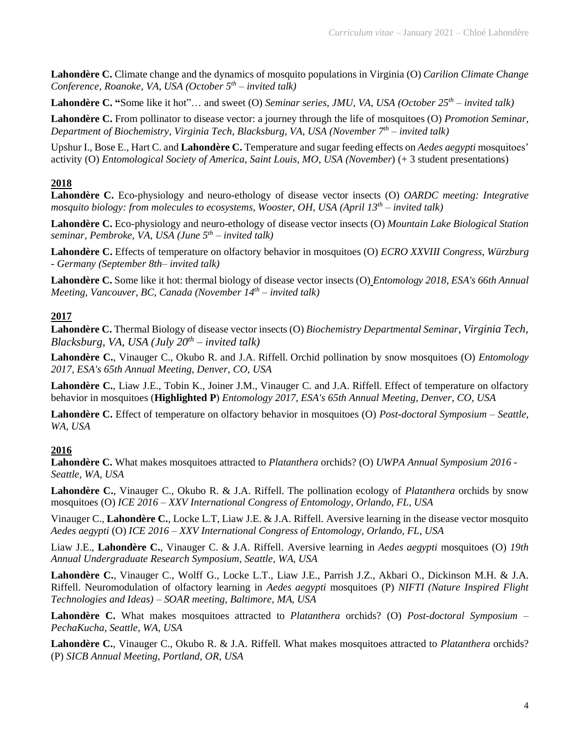**Lahondère C.** Climate change and the dynamics of mosquito populations in Virginia (O) *Carilion Climate Change Conference, Roanoke, VA, USA (October 5 th – invited talk)*

**Lahondère C. "**Some like it hot"… and sweet (O) *Seminar series*, *JMU, VA, USA (October 25th – invited talk)*

**Lahondère C.** From pollinator to disease vector: a journey through the life of mosquitoes (O) *Promotion Seminar, Department of Biochemistry, Virginia Tech, Blacksburg, VA, USA (November 7 th – invited talk)*

Upshur I., Bose E., Hart C. and **Lahondère C.** Temperature and sugar feeding effects on *Aedes aegypti* mosquitoes' activity (O) *Entomological Society of America*, *Saint Louis, MO, USA (November*) (+ 3 student presentations)

#### **2018**

**Lahondère C.** Eco-physiology and neuro-ethology of disease vector insects (O) *OARDC meeting: Integrative mosquito biology: from molecules to ecosystems, Wooster, OH, USA (April 13th – invited talk)*

**Lahondère C.** Eco-physiology and neuro-ethology of disease vector insects (O) *Mountain Lake Biological Station seminar, Pembroke, VA, USA (June 5 th – invited talk)*

**Lahondère C.** Effects of temperature on olfactory behavior in mosquitoes (O) *ECRO XXVIII Congress, Würzburg - Germany (September 8th– invited talk)*

**Lahondère C.** Some like it hot: thermal biology of disease vector insects (O) *Entomology 2018, ESA's 66th Annual Meeting, Vancouver, BC, Canada (November 14th – invited talk)*

#### **2017**

**Lahondère C.** Thermal Biology of disease vector insects (O) *Biochemistry Departmental Seminar, Virginia Tech, Blacksburg, VA, USA (July 20th – invited talk)*

**Lahondère C.**, Vinauger C., Okubo R. and J.A. Riffell. Orchid pollination by snow mosquitoes (O) *Entomology 2017, ESA's 65th Annual Meeting, Denver, CO, USA*

**Lahondère C.**, Liaw J.E., Tobin K., Joiner J.M., Vinauger C. and J.A. Riffell. Effect of temperature on olfactory behavior in mosquitoes (**Highlighted P**) *Entomology 2017, ESA's 65th Annual Meeting, Denver, CO, USA*

**Lahondère C.** Effect of temperature on olfactory behavior in mosquitoes (O) *Post-doctoral Symposium – Seattle, WA, USA*

# **2016**

**Lahondère C.** What makes mosquitoes attracted to *Platanthera* orchids? (O) *UWPA Annual Symposium 2016 - Seattle, WA, USA* 

**Lahondère C.**, Vinauger C., Okubo R. & J.A. Riffell. The pollination ecology of *Platanthera* orchids by snow mosquitoes (O) *ICE 2016 – XXV International Congress of Entomology, Orlando, FL, USA*

Vinauger C., **Lahondère C.**, Locke L.T, Liaw J.E. & J.A. Riffell. Aversive learning in the disease vector mosquito *Aedes aegypti* (O) *ICE 2016 – XXV International Congress of Entomology, Orlando, FL, USA*

Liaw J.E., **Lahondère C.**, Vinauger C. & J.A. Riffell. Aversive learning in *Aedes aegypti* mosquitoes (O) *19th Annual Undergraduate Research Symposium, Seattle, WA, USA*

**Lahondère C.**, Vinauger C., Wolff G., Locke L.T., Liaw J.E., Parrish J.Z., Akbari O., Dickinson M.H. & J.A. Riffell. Neuromodulation of olfactory learning in *Aedes aegypti* mosquitoes (P) *NIFTI (Nature Inspired Flight Technologies and Ideas) – SOAR meeting, Baltimore, MA, USA* 

**Lahondère C.** What makes mosquitoes attracted to *Platanthera* orchids? (O) *Post-doctoral Symposium – PechaKucha, Seattle, WA, USA*

**Lahondère C.**, Vinauger C., Okubo R. & J.A. Riffell. What makes mosquitoes attracted to *Platanthera* orchids? (P) *SICB Annual Meeting, Portland, OR, USA*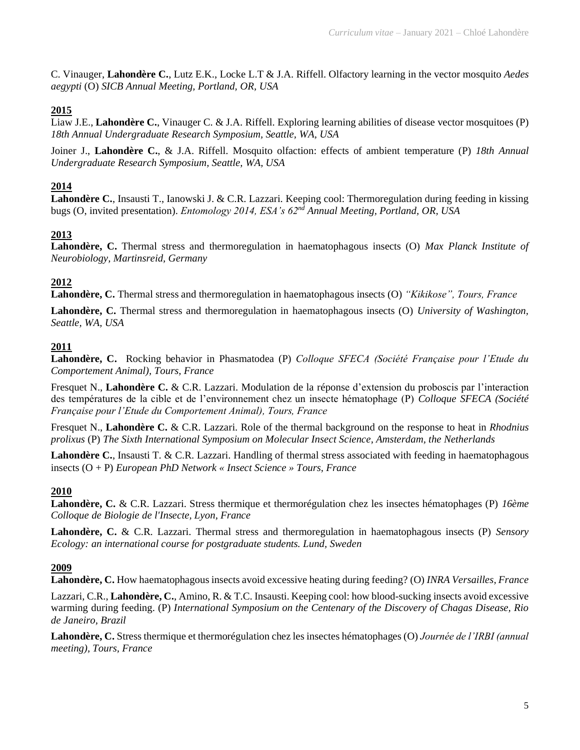C. Vinauger, **Lahondère C.**, Lutz E.K., Locke L.T & J.A. Riffell. Olfactory learning in the vector mosquito *Aedes aegypti* (O) *SICB Annual Meeting, Portland, OR, USA*

# **2015**

Liaw J.E., **Lahondère C.**, Vinauger C. & J.A. Riffell. Exploring learning abilities of disease vector mosquitoes (P) *18th Annual Undergraduate Research Symposium, Seattle, WA, USA*

Joiner J., **Lahondère C.**, & J.A. Riffell. Mosquito olfaction: effects of ambient temperature (P) *18th Annual Undergraduate Research Symposium, Seattle, WA, USA*

# **2014**

**Lahondère C.**, Insausti T., Ianowski J. & C.R. Lazzari. Keeping cool: Thermoregulation during feeding in kissing bugs (O, invited presentation). *Entomology 2014, ESA's 62nd Annual Meeting, Portland, OR, USA* 

# **2013**

**Lahondère, C.** Thermal stress and thermoregulation in haematophagous insects (O) *Max Planck Institute of Neurobiology, Martinsreid, Germany*

# **2012**

**Lahondère, C.** Thermal stress and thermoregulation in haematophagous insects (O) *"Kikikose", Tours, France*

**Lahondère, C.** Thermal stress and thermoregulation in haematophagous insects (O) *University of Washington, Seattle, WA, USA* 

#### **2011**

**Lahondère, C.** Rocking behavior in Phasmatodea (P) *Colloque SFECA (Société Française pour l'Etude du Comportement Animal), Tours, France*

Fresquet N., **Lahondère C.** & C.R. Lazzari. Modulation de la réponse d'extension du proboscis par l'interaction des températures de la cible et de l'environnement chez un insecte hématophage (P) *Colloque SFECA (Société Française pour l'Etude du Comportement Animal), Tours, France*

Fresquet N., **Lahondère C.** & C.R. Lazzari. Role of the thermal background on the response to heat in *Rhodnius prolixus* (P) *The Sixth International Symposium on Molecular Insect Science, Amsterdam, the Netherlands*

**Lahondère C.**, Insausti T. & C.R. Lazzari. Handling of thermal stress associated with feeding in haematophagous insects (O + P) *European PhD Network « Insect Science » Tours, France*

# **2010**

**Lahondère, C.** & C.R. Lazzari. Stress thermique et thermorégulation chez les insectes hématophages (P) *16ème Colloque de Biologie de l'Insecte, Lyon, France* 

**Lahondère, C.** & C.R. Lazzari. Thermal stress and thermoregulation in haematophagous insects (P) *Sensory Ecology: an international course for postgraduate students. Lund, Sweden* 

# **2009**

**Lahondère, C.** How haematophagous insects avoid excessive heating during feeding? (O) *INRA Versailles, France*

Lazzari, C.R., **Lahondère, C.**, Amino, R. & T.C. Insausti. Keeping cool: how blood-sucking insects avoid excessive warming during feeding. (P) *International Symposium on the Centenary of the Discovery of Chagas Disease, Rio de Janeiro, Brazil* 

**Lahondère, C.** Stress thermique et thermorégulation chez les insectes hématophages (O) *Journée de l'IRBI (annual meeting), Tours, France*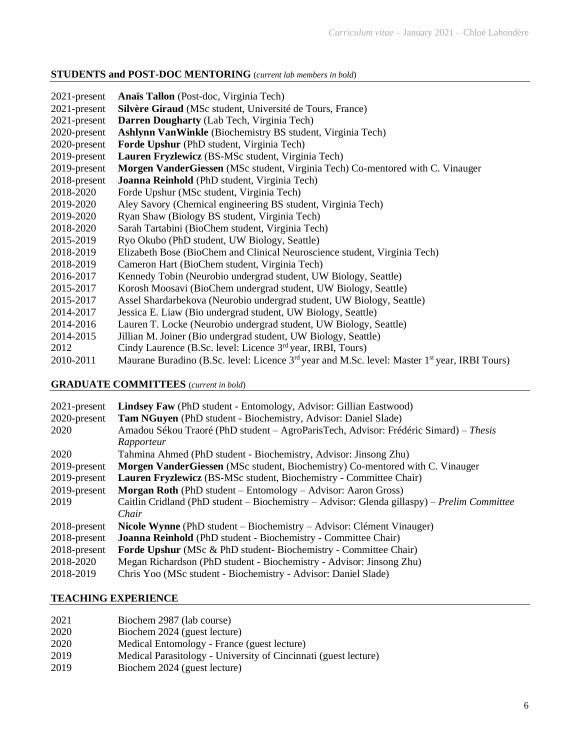# **STUDENTS and POST-DOC MENTORING** (*current lab members in bold*)

| $2021$ -present | Anaïs Tallon (Post-doc, Virginia Tech)                                                                                |
|-----------------|-----------------------------------------------------------------------------------------------------------------------|
| 2021-present    | Silvère Giraud (MSc student, Université de Tours, France)                                                             |
| $2021$ -present | Darren Dougharty (Lab Tech, Virginia Tech)                                                                            |
| 2020-present    | Ashlynn Van Winkle (Biochemistry BS student, Virginia Tech)                                                           |
| 2020-present    | Forde Upshur (PhD student, Virginia Tech)                                                                             |
| 2019-present    | Lauren Fryzlewicz (BS-MSc student, Virginia Tech)                                                                     |
| 2019-present    | Morgen VanderGiessen (MSc student, Virginia Tech) Co-mentored with C. Vinauger                                        |
| 2018-present    | Joanna Reinhold (PhD student, Virginia Tech)                                                                          |
| 2018-2020       | Forde Upshur (MSc student, Virginia Tech)                                                                             |
| 2019-2020       | Aley Savory (Chemical engineering BS student, Virginia Tech)                                                          |
| 2019-2020       | Ryan Shaw (Biology BS student, Virginia Tech)                                                                         |
| 2018-2020       | Sarah Tartabini (BioChem student, Virginia Tech)                                                                      |
| 2015-2019       | Ryo Okubo (PhD student, UW Biology, Seattle)                                                                          |
| 2018-2019       | Elizabeth Bose (BioChem and Clinical Neuroscience student, Virginia Tech)                                             |
| 2018-2019       | Cameron Hart (BioChem student, Virginia Tech)                                                                         |
| 2016-2017       | Kennedy Tobin (Neurobio undergrad student, UW Biology, Seattle)                                                       |
| 2015-2017       | Korosh Moosavi (BioChem undergrad student, UW Biology, Seattle)                                                       |
| 2015-2017       | Assel Shardarbekova (Neurobio undergrad student, UW Biology, Seattle)                                                 |
| 2014-2017       | Jessica E. Liaw (Bio undergrad student, UW Biology, Seattle)                                                          |
| 2014-2016       | Lauren T. Locke (Neurobio undergrad student, UW Biology, Seattle)                                                     |
| 2014-2015       | Jillian M. Joiner (Bio undergrad student, UW Biology, Seattle)                                                        |
| 2012            | Cindy Laurence (B.Sc. level: Licence 3 <sup>rd</sup> year, IRBI, Tours)                                               |
| 2010-2011       | Maurane Buradino (B.Sc. level: Licence 3 <sup>rd</sup> year and M.Sc. level: Master 1 <sup>st</sup> year, IRBI Tours) |

# **GRADUATE COMMITTEES** (*current in bold*)

| <b>Lindsey Faw</b> (PhD student - Entomology, Advisor: Gillian Eastwood)                    |
|---------------------------------------------------------------------------------------------|
| Tam NGuyen (PhD student - Biochemistry, Advisor: Daniel Slade)                              |
| Amadou Sékou Traoré (PhD student – AgroParisTech, Advisor: Frédéric Simard) – Thesis        |
| Rapporteur                                                                                  |
| Tahmina Ahmed (PhD student - Biochemistry, Advisor: Jinsong Zhu)                            |
| Morgen VanderGiessen (MSc student, Biochemistry) Co-mentored with C. Vinauger               |
| Lauren Fryzlewicz (BS-MSc student, Biochemistry - Committee Chair)                          |
| <b>Morgan Roth</b> (PhD student $-$ Entomology $-$ Advisor: Aaron Gross)                    |
| Caitlin Cridland (PhD student – Biochemistry – Advisor: Glenda gillaspy) – Prelim Committee |
| Chair                                                                                       |
| Nicole Wynne (PhD student – Biochemistry – Advisor: Clément Vinauger)                       |
| <b>Joanna Reinhold</b> (PhD student - Biochemistry - Committee Chair)                       |
| <b>Forde Upshur</b> (MSc & PhD student- Biochemistry - Committee Chair)                     |
| Megan Richardson (PhD student - Biochemistry - Advisor: Jinsong Zhu)                        |
| Chris Yoo (MSc student - Biochemistry - Advisor: Daniel Slade)                              |
|                                                                                             |

#### **TEACHING EXPERIENCE**

| 2021 | Biochem 2987 (lab course)                                       |
|------|-----------------------------------------------------------------|
| 2020 | Biochem 2024 (guest lecture)                                    |
| 2020 | Medical Entomology - France (guest lecture)                     |
| 2019 | Medical Parasitology - University of Cincinnati (guest lecture) |
| 2019 | Biochem 2024 (guest lecture)                                    |